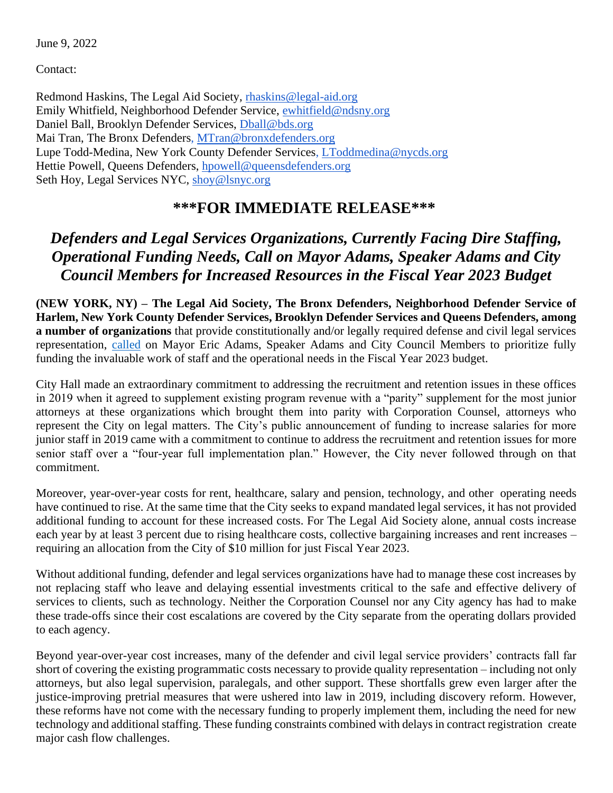June 9, 2022

Contact:

Redmond Haskins, The Legal Aid Society, [rhaskins@legal-aid.org](mailto:rhaskins@legal-aid.org) Emily Whitfield, Neighborhood Defender Service, [ewhitfield@ndsny.org](mailto:ewhitfield@ndsny.org) Daniel Ball, Brooklyn Defender Services, [Dball@bds.org](mailto:Dball@bds.org) Mai Tran, The Bronx Defenders, [MTran@bronxdefenders.org](mailto:MTran@bronxdefenders.org) Lupe Todd-Medina, New York County Defender Services, [LToddmedina@nycds.org](mailto:LToddmedina@nycds.org) Hettie Powell, Queens Defenders, [hpowell@queensdefenders.org](mailto:hpowell@queensdefenders.org) Seth Hoy, Legal Services NYC, [shoy@lsnyc.org](mailto:shoy@lsnyc.org)

## **\*\*\*FOR IMMEDIATE RELEASE\*\*\***

## *Defenders and Legal Services Organizations, Currently Facing Dire Staffing, Operational Funding Needs, Call on Mayor Adams, Speaker Adams and City Council Members for Increased Resources in the Fiscal Year 2023 Budget*

**(NEW YORK, NY) – The Legal Aid Society, The Bronx Defenders, Neighborhood Defender Service of Harlem, New York County Defender Services, Brooklyn Defender Services and Queens Defenders, among a number of organizations** that provide constitutionally and/or legally required defense and civil legal services representation, [called](https://www.nytimes.com/2022/06/09/nyregion/nyc-public-defenders-pay.html) on Mayor Eric Adams, Speaker Adams and City Council Members to prioritize fully funding the invaluable work of staff and the operational needs in the Fiscal Year 2023 budget.

City Hall made an extraordinary commitment to addressing the recruitment and retention issues in these offices in 2019 when it agreed to supplement existing program revenue with a "parity" supplement for the most junior attorneys at these organizations which brought them into parity with Corporation Counsel, attorneys who represent the City on legal matters. The City's public announcement of funding to increase salaries for more junior staff in 2019 came with a commitment to continue to address the recruitment and retention issues for more senior staff over a "four-year full implementation plan." However, the City never followed through on that commitment.

Moreover, year-over-year costs for rent, healthcare, salary and pension, technology, and other operating needs have continued to rise. At the same time that the City seeks to expand mandated legal services, it has not provided additional funding to account for these increased costs. For The Legal Aid Society alone, annual costs increase each year by at least 3 percent due to rising healthcare costs, collective bargaining increases and rent increases – requiring an allocation from the City of \$10 million for just Fiscal Year 2023.

Without additional funding, defender and legal services organizations have had to manage these cost increases by not replacing staff who leave and delaying essential investments critical to the safe and effective delivery of services to clients, such as technology. Neither the Corporation Counsel nor any City agency has had to make these trade-offs since their cost escalations are covered by the City separate from the operating dollars provided to each agency.

Beyond year-over-year cost increases, many of the defender and civil legal service providers' contracts fall far short of covering the existing programmatic costs necessary to provide quality representation – including not only attorneys, but also legal supervision, paralegals, and other support. These shortfalls grew even larger after the justice-improving pretrial measures that were ushered into law in 2019, including discovery reform. However, these reforms have not come with the necessary funding to properly implement them, including the need for new technology and additional staffing. These funding constraints combined with delays in contract registration create major cash flow challenges.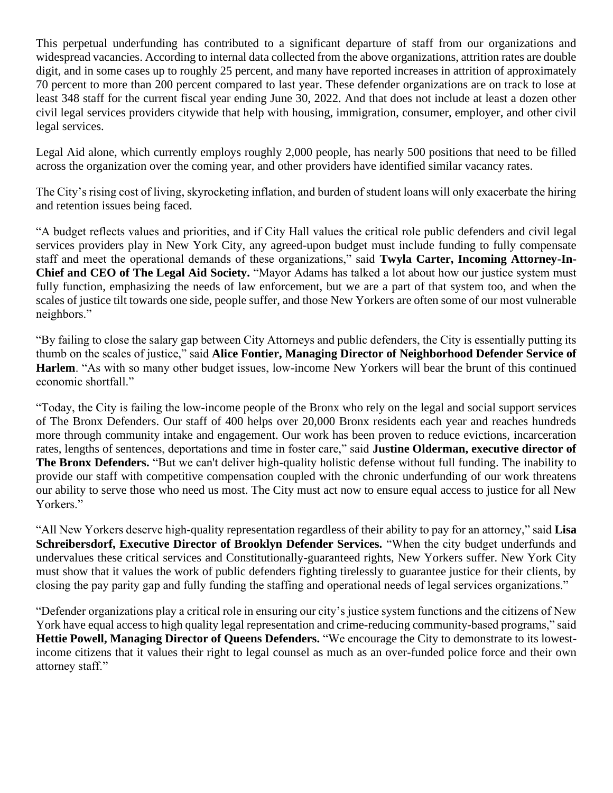This perpetual underfunding has contributed to a significant departure of staff from our organizations and widespread vacancies. According to internal data collected from the above organizations, attrition rates are double digit, and in some cases up to roughly 25 percent, and many have reported increases in attrition of approximately 70 percent to more than 200 percent compared to last year. These defender organizations are on track to lose at least 348 staff for the current fiscal year ending June 30, 2022. And that does not include at least a dozen other civil legal services providers citywide that help with housing, immigration, consumer, employer, and other civil legal services.

Legal Aid alone, which currently employs roughly 2,000 people, has nearly 500 positions that need to be filled across the organization over the coming year, and other providers have identified similar vacancy rates.

The City's rising cost of living, skyrocketing inflation, and burden of student loans will only exacerbate the hiring and retention issues being faced.

"A budget reflects values and priorities, and if City Hall values the critical role public defenders and civil legal services providers play in New York City, any agreed-upon budget must include funding to fully compensate staff and meet the operational demands of these organizations," said **Twyla Carter, Incoming Attorney-In-Chief and CEO of The Legal Aid Society.** "Mayor Adams has talked a lot about how our justice system must fully function, emphasizing the needs of law enforcement, but we are a part of that system too, and when the scales of justice tilt towards one side, people suffer, and those New Yorkers are often some of our most vulnerable neighbors."

"By failing to close the salary gap between City Attorneys and public defenders, the City is essentially putting its thumb on the scales of justice," said **Alice Fontier, Managing Director of Neighborhood Defender Service of Harlem**. "As with so many other budget issues, low-income New Yorkers will bear the brunt of this continued economic shortfall."

"Today, the City is failing the low-income people of the Bronx who rely on the legal and social support services of The Bronx Defenders. Our staff of 400 helps over 20,000 Bronx residents each year and reaches hundreds more through community intake and engagement. Our work has been proven to reduce evictions, incarceration rates, lengths of sentences, deportations and time in foster care," said **Justine Olderman, executive director of The Bronx Defenders.** "But we can't deliver high-quality holistic defense without full funding. The inability to provide our staff with competitive compensation coupled with the chronic underfunding of our work threatens our ability to serve those who need us most. The City must act now to ensure equal access to justice for all New Yorkers."

"All New Yorkers deserve high-quality representation regardless of their ability to pay for an attorney," said **Lisa Schreibersdorf, Executive Director of Brooklyn Defender Services.** "When the city budget underfunds and undervalues these critical services and Constitutionally-guaranteed rights, New Yorkers suffer. New York City must show that it values the work of public defenders fighting tirelessly to guarantee justice for their clients, by closing the pay parity gap and fully funding the staffing and operational needs of legal services organizations."

"Defender organizations play a critical role in ensuring our city's justice system functions and the citizens of New York have equal access to high quality legal representation and crime-reducing community-based programs," said **Hettie Powell, Managing Director of Queens Defenders.** "We encourage the City to demonstrate to its lowestincome citizens that it values their right to legal counsel as much as an over-funded police force and their own attorney staff."